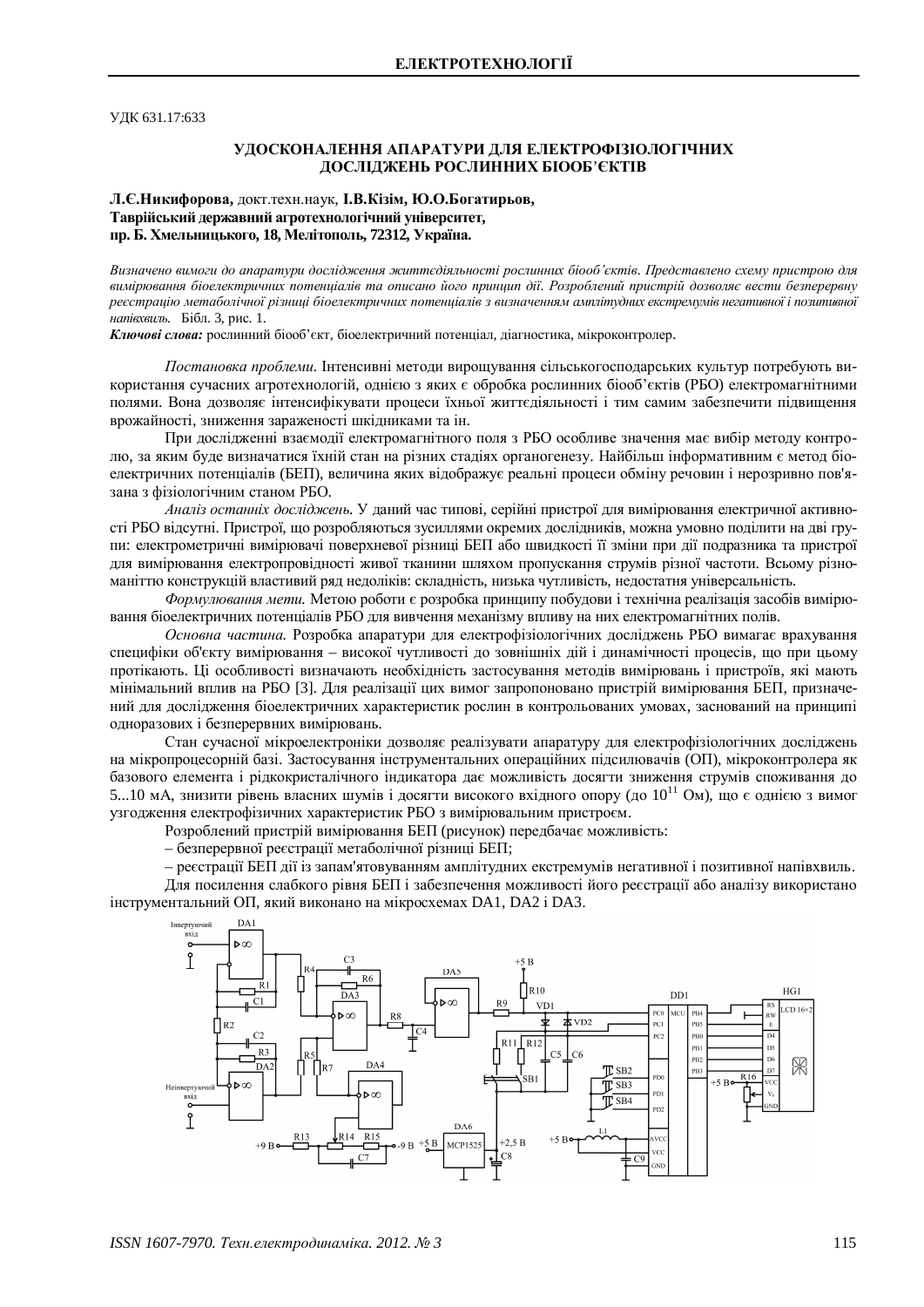УДК 631.17:633

## УЛОСКОНАЛЕННЯ АПАРАТУРИ ЛЛЯ ЕЛЕКТРОФІЗІОЛОГІЧНИХ ДОСЛІДЖЕНЬ РОСЛИННИХ БІООБ'ЄКТІВ

# **Л.Є.Никифорова.** докт.техн.наук. **І.В.Кізім. Ю.О.Богатирьов.** Таврійський державний агротехнологічний університет, пр. Б. Хмельницького, 18, Мелітополь, 72312, Україна.

Визначено вимоги до апаратури дослідження життєдіяльності рослинних біооб'єктів. Представлено схему пристрою для вимірювання біоелектричних потенціалів та описано його принцип дії. Розроблений пристрій дозволяє вести безперервну *реєстрацію метаболічної різниці біоелектричних потенціалів з визначенням амплітудних екстремумів негативної і позитивної напівхвиль.* Бібл. 3, рис. 1.

**Ключові слова:** рослинний біооб'єкт, біоелектричний потенціал, діагностика, мікроконтролер.

Постановка проблеми. Інтенсивні методи вирошування сільськогосподарських культур потребують використання сучасних агротехнологій, однією з яких є обробка рослинних біооб'єктів (РБО) електромагнітними полями. Вона дозволяє інтенсифікувати процеси їхньої життєдіяльності і тим самим забезпечити підвищення врожайності, зниження зараженості шкідниками та ін.

При дослідженні взаємодії електромагнітного поля з РБО особливе значення має вибір методу контролю, за яким буде визначатися їхній стан на різних стадіях органогенезу. Найбільш інформативним є метод біоелектричних потенціалів (БЕП), величина яких відображує реальні процеси обміну речовин і нерозривно пов'язана з фізіологічним станом РБО.

*Аналіз останніх досліджень.* У ланий час типові, серійні пристрої лля вимірювання електричної активності РБО відсутні. Пристрої, що розробляються зусиллями окремих дослідників, можна умовно поділити на дві групи: електрометричні вимірювачі поверхневої різниці БЕП або швидкості її зміни при дії подразника та пристрої для вимірювання електропровідності живої тканини шляхом пропускання струмів різної частоти. Всьому різноманіттю конструкцій властивий ряд недоліків: складність, низька чутливість, недостатня універсальність.

Формулювання мети. Метою роботи є розробка принципу побудови і технічна реалізація засобів вимірювання біоелектричних потенціалів РБО для вивчення механізму впливу на них електромагнітних полів.

Основна частина. Розробка апаратури для електрофізіологічних досліджень РБО вимагає врахування специфіки об'єкту вимірювання – високої чутливості до зовнішніх дій і динамічності процесів, що при цьому протікають. Ці особливості визначають необхідність застосування методів вимірювань і пристроїв, які мають мінімальний вплив на РБО [3]. Для реалізації цих вимог запропоновано пристрій вимірювання БЕП, призначений для дослідження біоелектричних характеристик рослин в контрольованих умовах, заснований на принципі одноразових і безперервних вимірювань.

Стан сучасної мікроелектроніки дозволяє реалізувати апаратуру для електрофізіологічних досліджень на мікропроцесорній базі. Застосування інструментальних операційних підсилювачів (ОП), мікроконтролера як базового елемента і рідкокристалічного індикатора дає можливість досягти зниження струмів споживання до 5...10 мА, знизити рівень власних шумів і досягти високого вхідного опору (до 10<sup>11</sup> Ом), що є однією з вимог узгодження електрофізичних характеристик РБО з вимірювальним пристроєм.

Розроблений пристрій вимірювання БЕП (рисунок) перелбачає можливість:

– безперервної реєстрації метаболічної різниці БЕП;

– реєстрації БЕП дії із запам'ятовуванням амплітудних екстремумів негативної і позитивної напівхвиль. Для посилення слабкого рівня БЕП і забезпечення можливості його реєстрації або аналізу використано інструментальний ОП, який виконано на мікросхемах DA1, DA2 і DA3.